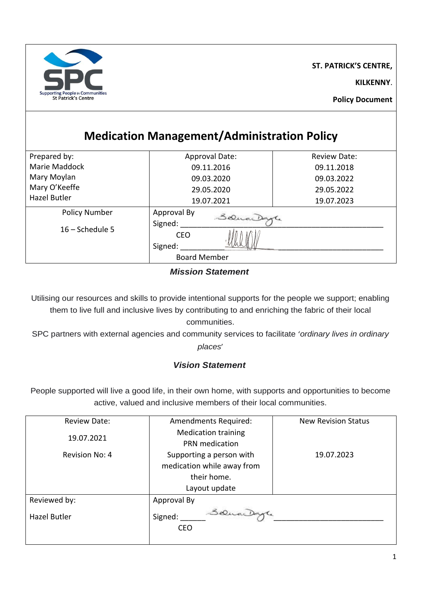

**ST. PATRICK'S CENTRE,**

**KILKENNY**.

# **Medication Management/Administration Policy**

| Prepared by:         | Approval Date:            | Review Date: |  |
|----------------------|---------------------------|--------------|--|
| Marie Maddock        | 09.11.2016                | 09.11.2018   |  |
| Mary Moylan          | 09.03.2020                | 09.03.2022   |  |
| Mary O'Keeffe        | 29.05.2020                | 29.05.2022   |  |
| Hazel Butler         | 19.07.2021                | 19.07.2023   |  |
| <b>Policy Number</b> | Approval By<br>SaucaDagle |              |  |
| $16 -$ Schedule 5    | Signed:                   |              |  |
|                      | <b>CEO</b>                |              |  |
|                      | Signed:                   |              |  |
|                      | <b>Board Member</b>       |              |  |

#### *Mission Statement*

Utilising our resources and skills to provide intentional supports for the people we support; enabling them to live full and inclusive lives by contributing to and enriching the fabric of their local communities.

SPC partners with external agencies and community services to facilitate '*ordinary lives in ordinary places*'

### *Vision Statement*

People supported will live a good life, in their own home, with supports and opportunities to become active, valued and inclusive members of their local communities.

| <b>Review Date:</b> | <b>Amendments Required:</b> | <b>New Revision Status</b> |
|---------------------|-----------------------------|----------------------------|
| 19.07.2021          | <b>Medication training</b>  |                            |
|                     | <b>PRN</b> medication       |                            |
| Revision No: 4      | Supporting a person with    | 19.07.2023                 |
|                     | medication while away from  |                            |
|                     | their home.                 |                            |
|                     | Layout update               |                            |
| Reviewed by:        | Approval By                 |                            |
| <b>Hazel Butler</b> | Selve Dayt<br>Signed:       |                            |
|                     | <b>CEO</b>                  |                            |
|                     |                             |                            |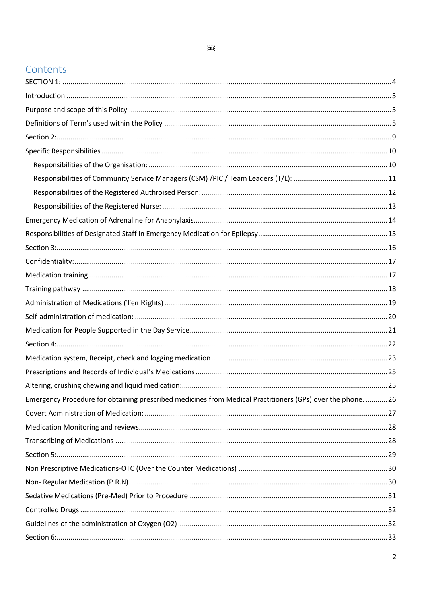#### $\overline{OBJ}$

### Contents

| Emergency Procedure for obtaining prescribed medicines from Medical Practitioners (GPs) over the phone.  26 |  |
|-------------------------------------------------------------------------------------------------------------|--|
|                                                                                                             |  |
|                                                                                                             |  |
|                                                                                                             |  |
|                                                                                                             |  |
|                                                                                                             |  |
|                                                                                                             |  |
|                                                                                                             |  |
|                                                                                                             |  |
|                                                                                                             |  |
|                                                                                                             |  |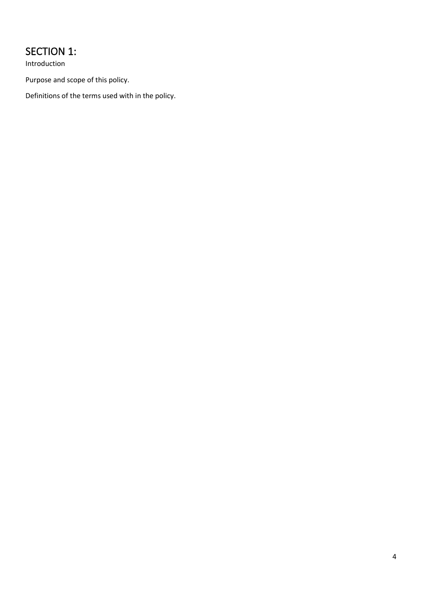# <span id="page-3-0"></span>SECTION 1:

Introduction

Purpose and scope of this policy.

Definitions of the terms used with in the policy.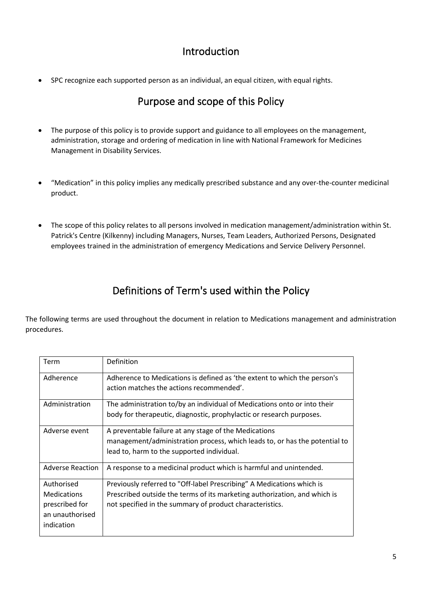### Introduction

<span id="page-4-1"></span><span id="page-4-0"></span>• SPC recognize each supported person as an individual, an equal citizen, with equal rights.

### Purpose and scope of this Policy

- The purpose of this policy is to provide support and guidance to all employees on the management, administration, storage and ordering of medication in line with National Framework for Medicines Management in Disability Services.
- "Medication" in this policy implies any medically prescribed substance and any over-the-counter medicinal product.
- The scope of this policy relates to all persons involved in medication management/administration within St. Patrick's Centre (Kilkenny) including Managers, Nurses, Team Leaders, Authorized Persons, Designated employees trained in the administration of emergency Medications and Service Delivery Personnel.

# Definitions of Term's used within the Policy

<span id="page-4-2"></span>The following terms are used throughout the document in relation to Medications management and administration procedures.

| Term                                                                                | Definition                                                                                                                                                                                                     |
|-------------------------------------------------------------------------------------|----------------------------------------------------------------------------------------------------------------------------------------------------------------------------------------------------------------|
| Adherence                                                                           | Adherence to Medications is defined as 'the extent to which the person's<br>action matches the actions recommended'.                                                                                           |
| Administration                                                                      | The administration to/by an individual of Medications onto or into their<br>body for therapeutic, diagnostic, prophylactic or research purposes.                                                               |
| Adverse event                                                                       | A preventable failure at any stage of the Medications<br>management/administration process, which leads to, or has the potential to<br>lead to, harm to the supported individual.                              |
| <b>Adverse Reaction</b>                                                             | A response to a medicinal product which is harmful and unintended.                                                                                                                                             |
| Authorised<br><b>Medications</b><br>prescribed for<br>an unauthorised<br>indication | Previously referred to "Off-label Prescribing" A Medications which is<br>Prescribed outside the terms of its marketing authorization, and which is<br>not specified in the summary of product characteristics. |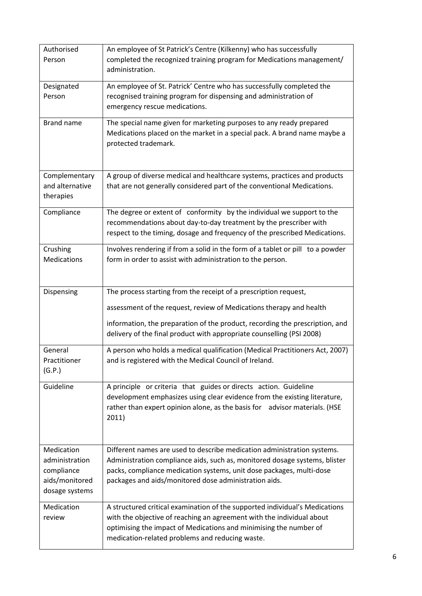| Authorised<br>Person                                                           | An employee of St Patrick's Centre (Kilkenny) who has successfully<br>completed the recognized training program for Medications management/<br>administration.                                                                                                                         |
|--------------------------------------------------------------------------------|----------------------------------------------------------------------------------------------------------------------------------------------------------------------------------------------------------------------------------------------------------------------------------------|
| Designated<br>Person                                                           | An employee of St. Patrick' Centre who has successfully completed the<br>recognised training program for dispensing and administration of<br>emergency rescue medications.                                                                                                             |
| Brand name                                                                     | The special name given for marketing purposes to any ready prepared<br>Medications placed on the market in a special pack. A brand name maybe a<br>protected trademark.                                                                                                                |
| Complementary<br>and alternative<br>therapies                                  | A group of diverse medical and healthcare systems, practices and products<br>that are not generally considered part of the conventional Medications.                                                                                                                                   |
| Compliance                                                                     | The degree or extent of conformity by the individual we support to the<br>recommendations about day-to-day treatment by the prescriber with<br>respect to the timing, dosage and frequency of the prescribed Medications.                                                              |
| Crushing<br><b>Medications</b>                                                 | Involves rendering if from a solid in the form of a tablet or pill to a powder<br>form in order to assist with administration to the person.                                                                                                                                           |
| Dispensing                                                                     | The process starting from the receipt of a prescription request,                                                                                                                                                                                                                       |
|                                                                                | assessment of the request, review of Medications therapy and health<br>information, the preparation of the product, recording the prescription, and<br>delivery of the final product with appropriate counselling (PSI 2008)                                                           |
| General<br>Practitioner<br>(G.P.)                                              | A person who holds a medical qualification (Medical Practitioners Act, 2007)<br>and is registered with the Medical Council of Ireland.                                                                                                                                                 |
| Guideline                                                                      | A principle or criteria that guides or directs action. Guideline<br>development emphasizes using clear evidence from the existing literature,<br>rather than expert opinion alone, as the basis for advisor materials. (HSE<br>2011)                                                   |
| Medication<br>administration<br>compliance<br>aids/monitored<br>dosage systems | Different names are used to describe medication administration systems.<br>Administration compliance aids, such as, monitored dosage systems, blister<br>packs, compliance medication systems, unit dose packages, multi-dose<br>packages and aids/monitored dose administration aids. |
| Medication<br>review                                                           | A structured critical examination of the supported individual's Medications<br>with the objective of reaching an agreement with the individual about<br>optimising the impact of Medications and minimising the number of<br>medication-related problems and reducing waste.           |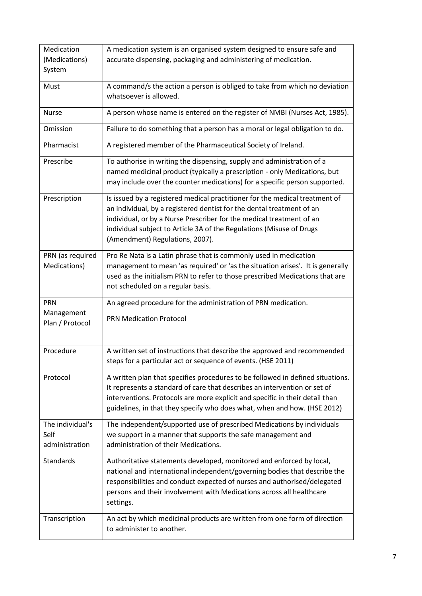| Medication                                 | A medication system is an organised system designed to ensure safe and                                                                                                                                                                                                                                                                  |
|--------------------------------------------|-----------------------------------------------------------------------------------------------------------------------------------------------------------------------------------------------------------------------------------------------------------------------------------------------------------------------------------------|
| (Medications)                              | accurate dispensing, packaging and administering of medication.                                                                                                                                                                                                                                                                         |
| System                                     |                                                                                                                                                                                                                                                                                                                                         |
| Must                                       | A command/s the action a person is obliged to take from which no deviation<br>whatsoever is allowed.                                                                                                                                                                                                                                    |
| <b>Nurse</b>                               | A person whose name is entered on the register of NMBI (Nurses Act, 1985).                                                                                                                                                                                                                                                              |
| Omission                                   | Failure to do something that a person has a moral or legal obligation to do.                                                                                                                                                                                                                                                            |
| Pharmacist                                 | A registered member of the Pharmaceutical Society of Ireland.                                                                                                                                                                                                                                                                           |
| Prescribe                                  | To authorise in writing the dispensing, supply and administration of a<br>named medicinal product (typically a prescription - only Medications, but<br>may include over the counter medications) for a specific person supported.                                                                                                       |
| Prescription                               | Is issued by a registered medical practitioner for the medical treatment of<br>an individual, by a registered dentist for the dental treatment of an<br>individual, or by a Nurse Prescriber for the medical treatment of an<br>individual subject to Article 3A of the Regulations (Misuse of Drugs<br>(Amendment) Regulations, 2007). |
| PRN (as required<br>Medications)           | Pro Re Nata is a Latin phrase that is commonly used in medication<br>management to mean 'as required' or 'as the situation arises'. It is generally<br>used as the initialism PRN to refer to those prescribed Medications that are<br>not scheduled on a regular basis.                                                                |
| <b>PRN</b>                                 | An agreed procedure for the administration of PRN medication.                                                                                                                                                                                                                                                                           |
| Management<br>Plan / Protocol              | <b>PRN Medication Protocol</b>                                                                                                                                                                                                                                                                                                          |
| Procedure                                  | A written set of instructions that describe the approved and recommended<br>steps for a particular act or sequence of events. (HSE 2011)                                                                                                                                                                                                |
| Protocol                                   | A written plan that specifies procedures to be followed in defined situations.<br>It represents a standard of care that describes an intervention or set of<br>interventions. Protocols are more explicit and specific in their detail than<br>guidelines, in that they specify who does what, when and how. (HSE 2012)                 |
| The individual's<br>Self<br>administration | The independent/supported use of prescribed Medications by individuals<br>we support in a manner that supports the safe management and<br>administration of their Medications.                                                                                                                                                          |
| <b>Standards</b>                           | Authoritative statements developed, monitored and enforced by local,<br>national and international independent/governing bodies that describe the<br>responsibilities and conduct expected of nurses and authorised/delegated<br>persons and their involvement with Medications across all healthcare<br>settings.                      |
| Transcription                              | An act by which medicinal products are written from one form of direction<br>to administer to another.                                                                                                                                                                                                                                  |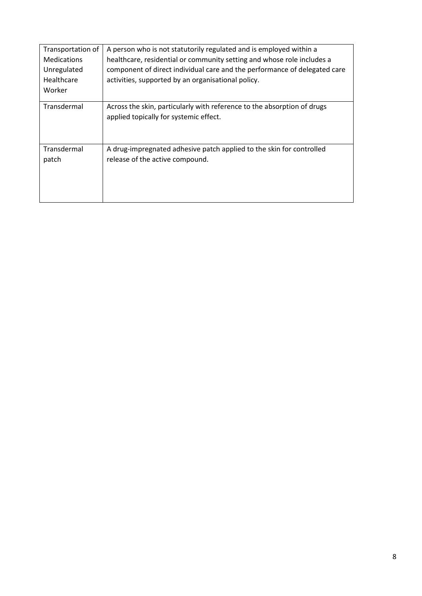| Transportation of    | A person who is not statutorily regulated and is employed within a                                                |
|----------------------|-------------------------------------------------------------------------------------------------------------------|
| <b>Medications</b>   | healthcare, residential or community setting and whose role includes a                                            |
| Unregulated          | component of direct individual care and the performance of delegated care                                         |
| Healthcare           | activities, supported by an organisational policy.                                                                |
| Worker               |                                                                                                                   |
| Transdermal          | Across the skin, particularly with reference to the absorption of drugs<br>applied topically for systemic effect. |
| Transdermal<br>patch | A drug-impregnated adhesive patch applied to the skin for controlled<br>release of the active compound.           |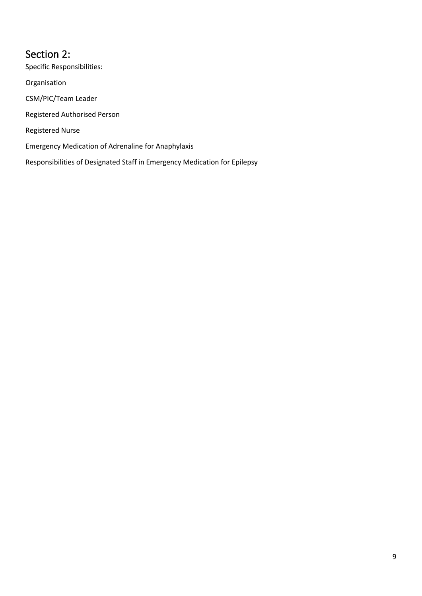<span id="page-8-0"></span>Section 2: Specific Responsibilities: Organisation CSM/PIC/Team Leader Registered Authorised Person Registered Nurse Emergency Medication of Adrenaline for Anaphylaxis Responsibilities of Designated Staff in Emergency Medication for Epilepsy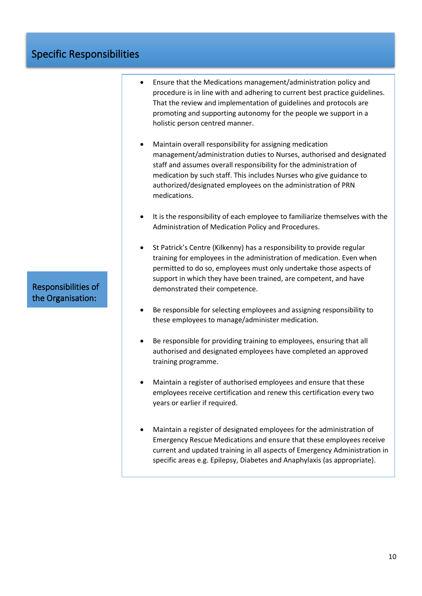## Specific Responsibilities

Responsibilities of the Organisation:

- Ensure that the Medications management/administration policy and procedure is in line with and adhering to current best practice guidelines. That the review and implementation of guidelines and protocols are promoting and supporting autonomy for the people we support in a holistic person centred manner.
- Maintain overall responsibility for assigning medication management/administration duties to Nurses, authorised and designated staff and assumes overall responsibility for the administration of medication by such staff. This includes Nurses who give guidance to authorized/designated employees on the administration of PRN medications.
- It is the responsibility of each employee to familiarize themselves with the Administration of Medication Policy and Procedures.
- St Patrick's Centre (Kilkenny) has a responsibility to provide regular training for employees in the administration of medication. Even when permitted to do so, employees must only undertake those aspects of support in which they have been trained, are competent, and have demonstrated their competence.
- Be responsible for selecting employees and assigning responsibility to these employees to manage/administer medication.
- Be responsible for providing training to employees, ensuring that all authorised and designated employees have completed an approved training programme.
- Maintain a register of authorised employees and ensure that these employees receive certification and renew this certification every two years or earlier if required.
- Maintain a register of designated employees for the administration of Emergency Rescue Medications and ensure that these employees receive current and updated training in all aspects of Emergency Administration in specific areas e.g. Epilepsy, Diabetes and Anaphylaxis (as appropriate).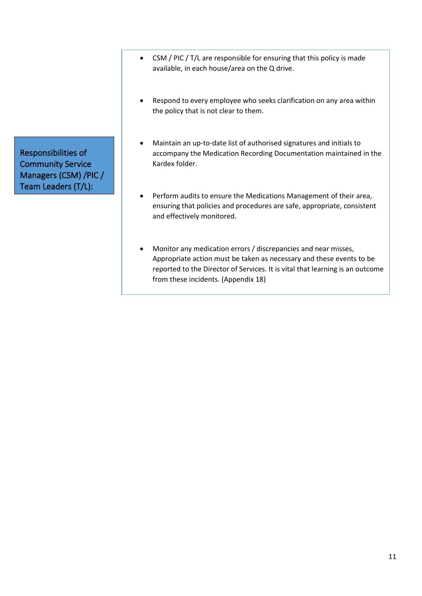- CSM / PIC / T/L are responsible for ensuring that this policy is made available, in each house/area on the Q drive.
- Respond to every employee who seeks clarification on any area within the policy that is not clear to them.
- Maintain an up-to-date list of authorised signatures and initials to accompany the Medication Recording Documentation maintained in the Kardex folder.
- Perform audits to ensure the Medications Management of their area, ensuring that policies and procedures are safe, appropriate, consistent and effectively monitored.
- Monitor any medication errors / discrepancies and near misses, Appropriate action must be taken as necessary and these events to be reported to the Director of Services. It is vital that learning is an outcome from these incidents. (Appendix 18)

Responsibilities of Community Service Managers (CSM) /PIC / Team Leaders (T/L):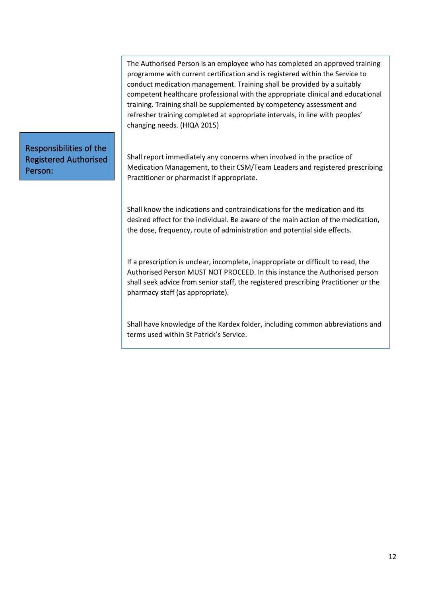The Authorised Person is an employee who has completed an approved training programme with current certification and is registered within the Service to conduct medication management. Training shall be provided by a suitably competent healthcare professional with the appropriate clinical and educational training. Training shall be supplemented by competency assessment and refresher training completed at appropriate intervals, in line with peoples' changing needs. (HIQA 2015)

Responsibilities of the Registered Authorised Person:

Shall report immediately any concerns when involved in the practice of Medication Management, to their CSM/Team Leaders and registered prescribing Practitioner or pharmacist if appropriate.

Shall know the indications and contraindications for the medication and its desired effect for the individual. Be aware of the main action of the medication, the dose, frequency, route of administration and potential side effects.

If a prescription is unclear, incomplete, inappropriate or difficult to read, the Authorised Person MUST NOT PROCEED. In this instance the Authorised person shall seek advice from senior staff, the registered prescribing Practitioner or the pharmacy staff (as appropriate).

Shall have knowledge of the Kardex folder, including common abbreviations and terms used within St Patrick's Service.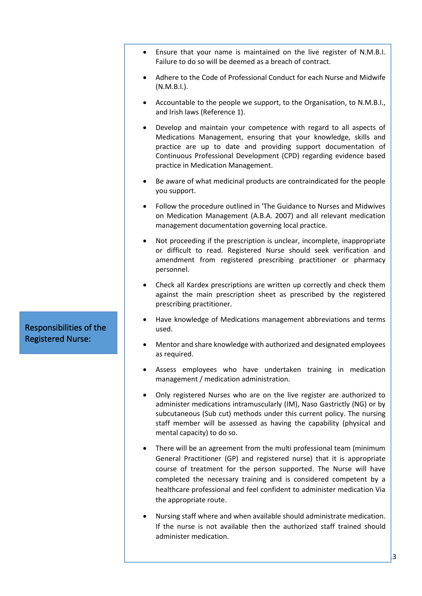- Ensure that your name is maintained on the live register of N.M.B.I. Failure to do so will be deemed as a breach of contract.
- Adhere to the Code of Professional Conduct for each Nurse and Midwife (N.M.B.I.).
- Accountable to the people we support, to the Organisation, to N.M.B.I., and Irish laws (Reference 1).
- Develop and maintain your competence with regard to all aspects of Medications Management, ensuring that your knowledge, skills and practice are up to date and providing support documentation of Continuous Professional Development (CPD) regarding evidence based practice in Medication Management.
- Be aware of what medicinal products are contraindicated for the people you support.
- Follow the procedure outlined in 'The Guidance to Nurses and Midwives on Medication Management (A.B.A. 2007) and all relevant medication management documentation governing local practice.
- Not proceeding if the prescription is unclear, incomplete, inappropriate or difficult to read. Registered Nurse should seek verification and amendment from registered prescribing practitioner or pharmacy personnel.
- Check all Kardex prescriptions are written up correctly and check them against the main prescription sheet as prescribed by the registered prescribing practitioner.
- Have knowledge of Medications management abbreviations and terms used.
- Mentor and share knowledge with authorized and designated employees as required.
- Assess employees who have undertaken training in medication management / medication administration.
- Only registered Nurses who are on the live register are authorized to administer medications intramuscularly (IM), Naso Gastrictly (NG) or by subcutaneous (Sub cut) methods under this current policy. The nursing staff member will be assessed as having the capability (physical and mental capacity) to do so.
- There will be an agreement from the multi professional team (minimum General Practitioner (GP) and registered nurse) that it is appropriate course of treatment for the person supported. The Nurse will have completed the necessary training and is considered competent by a healthcare professional and feel confident to administer medication Via the appropriate route.
- Nursing staff where and when available should administrate medication. If the nurse is not available then the authorized staff trained should administer medication.

Responsibilities of the Registered Nurse: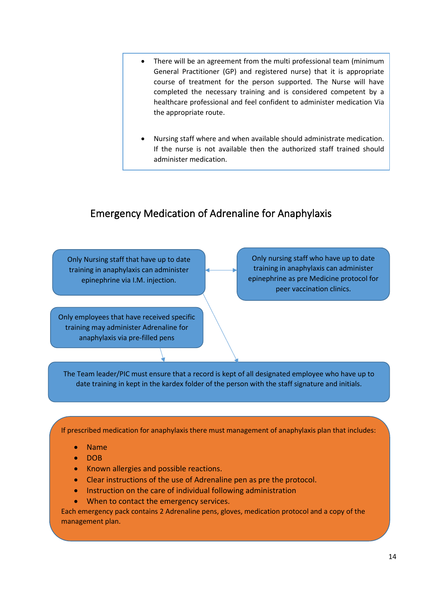- There will be an agreement from the multi professional team (minimum General Practitioner (GP) and registered nurse) that it is appropriate course of treatment for the person supported. The Nurse will have completed the necessary training and is considered competent by a healthcare professional and feel confident to administer medication Via the appropriate route.
- Nursing staff where and when available should administrate medication. If the nurse is not available then the authorized staff trained should administer medication.

## <span id="page-13-0"></span>Emergency Medication of Adrenaline for Anaphylaxis

Only Nursing staff that have up to date training in anaphylaxis can administer epinephrine via I.M. injection.

Only employees that have received specific training may administer Adrenaline for anaphylaxis via pre-filled pens

Only nursing staff who have up to date training in anaphylaxis can administer epinephrine as pre Medicine protocol for peer vaccination clinics.

The Team leader/PIC must ensure that a record is kept of all designated employee who have up to date training in kept in the kardex folder of the person with the staff signature and initials.

If prescribed medication for anaphylaxis there must management of anaphylaxis plan that includes:

- Name
- DOB
- Known allergies and possible reactions.
- Clear instructions of the use of Adrenaline pen as pre the protocol.
- Instruction on the care of individual following administration
- When to contact the emergency services.

Each emergency pack contains 2 Adrenaline pens, gloves, medication protocol and a copy of the management plan.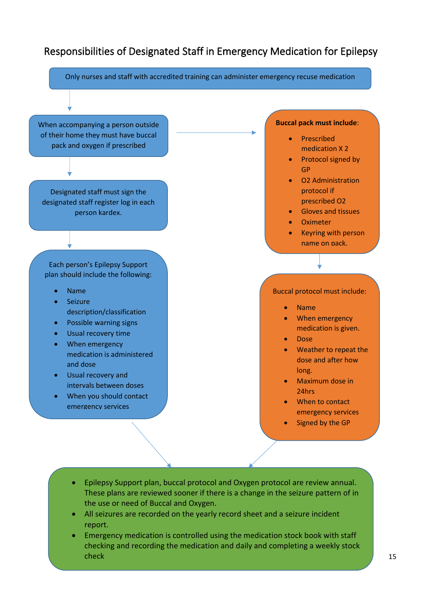## <span id="page-14-0"></span>Responsibilities of Designated Staff in Emergency Medication for Epilepsy

Only nurses and staff with accredited training can administer emergency recuse medication When accompanying a person outside of their home they must have buccal pack and oxygen if prescribed **Buccal pack must include**: • Prescribed medication X 2 • Protocol signed by GP • O2 Administration protocol if prescribed O2 • Gloves and tissues **Oximeter** • Keyring with person name on pack. Designated staff must sign the designated staff register log in each person kardex. Each person's Epilepsy Support plan should include the following: • Name • Seizure description/classification • Possible warning signs • Usual recovery time • When emergency medication is administered and dose Usual recovery and intervals between doses • When you should contact emergency services Buccal protocol must include: • Name • When emergency medication is given. • Dose • Weather to repeat the dose and after how long. • Maximum dose in 24hrs • When to contact emergency services

- Signed by the GP
- Epilepsy Support plan, buccal protocol and Oxygen protocol are review annual. These plans are reviewed sooner if there is a change in the seizure pattern of in the use or need of Buccal and Oxygen.
- All seizures are recorded on the yearly record sheet and a seizure incident report.
- Emergency medication is controlled using the medication stock book with staff checking and recording the medication and daily and completing a weekly stock check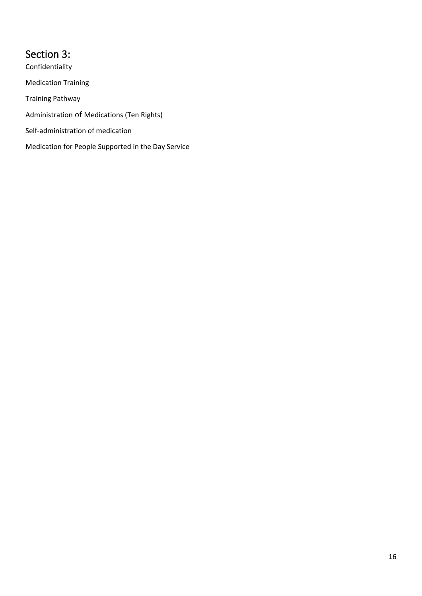# <span id="page-15-0"></span>Section 3:

Confidentiality Medication Training Training Pathway Administration of Medications (Ten Rights) Self-administration of medication Medication for People Supported in the Day Service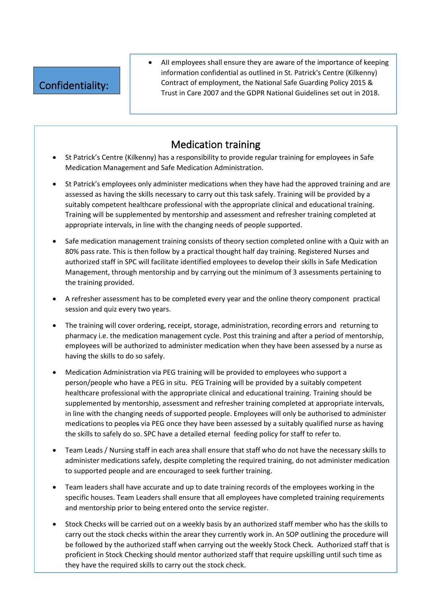# Confidentiality:

• AII employees shall ensure they are aware of the importance of keeping information confidential as outlined in St. Patrick's Centre (Kilkenny) Contract of employment, the National Safe Guarding Policy 2015 & Trust in Care 2007 and the GDPR National Guidelines set out in 2018.

## Medication training

- St Patrick's Centre (Kilkenny) has a responsibility to provide regular training for employees in Safe Medication Management and Safe Medication Administration.
- St Patrick's employees only administer medications when they have had the approved training and are assessed as having the skills necessary to carry out this task safely. Training will be provided by a suitably competent healthcare professional with the appropriate clinical and educational training. Training will be supplemented by mentorship and assessment and refresher training completed at appropriate intervals, in line with the changing needs of people supported.
- Safe medication management training consists of theory section completed online with a Quiz with an 80% pass rate. This is then follow by a practical thought half day training. Registered Nurses and authorized staff in SPC will facilitate identified employees to develop their skills in Safe Medication Management, through mentorship and by carrying out the minimum of 3 assessments pertaining to the training provided.
- A refresher assessment has to be completed every year and the online theory component practical session and quiz every two years.
- The training will cover ordering, receipt, storage, administration, recording errors and returning to pharmacy i.e. the medication management cycle. Post this training and after a period of mentorship, employees will be authorized to administer medication when they have been assessed by a nurse as having the skills to do so safely.
- Medication Administration via PEG training will be provided to employees who support a person/people who have a PEG in situ. PEG Training will be provided by a suitably competent healthcare professional with the appropriate clinical and educational training. Training should be supplemented by mentorship, assessment and refresher training completed at appropriate intervals, in line with the changing needs of supported people. Employees will only be authorised to administer medications to peoples via PEG once they have been assessed by a suitably qualified nurse as having the skills to safely do so. SPC have a detailed eternal feeding policy for staff to refer to.
- Team Leads / Nursing staff in each area shall ensure that staff who do not have the necessary skills to administer medications safely, despite completing the required training, do not administer medication to supported people and are encouraged to seek further training.
- Team leaders shall have accurate and up to date training records of the employees working in the specific houses. Team Leaders shall ensure that all employees have completed training requirements and mentorship prior to being entered onto the service register.
- Stock Checks will be carried out on a weekly basis by an authorized staff member who has the skills to carry out the stock checks within the arear they currently work in. An SOP outlining the procedure will be followed by the authorized staff when carrying out the weekly Stock Check. Authorized staff that is proficient in Stock Checking should mentor authorized staff that require upskilling until such time as they have the required skills to carry out the stock check.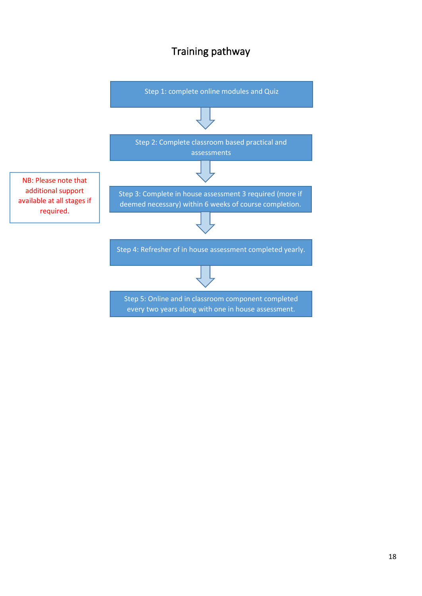### Training pathway

<span id="page-17-0"></span>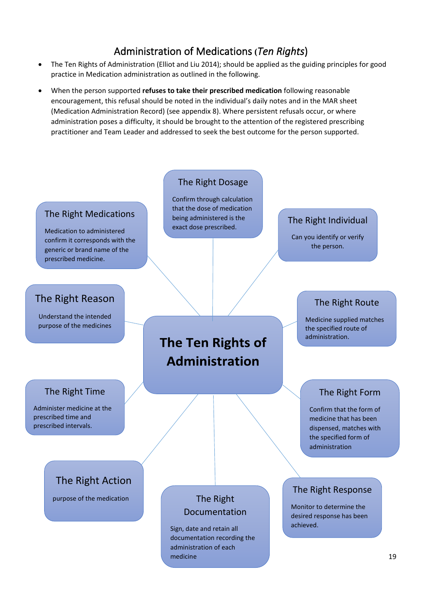### Administration of Medications **(***Ten Rights*)

- <span id="page-18-0"></span>• The Ten Rights of Administration (Elliot and Liu 2014); should be applied as the guiding principles for good practice in Medication administration as outlined in the following.
- When the person supported **refuses to take their prescribed medication** following reasonable encouragement, this refusal should be noted in the individual's daily notes and in the MAR sheet (Medication Administration Record) (see appendix 8). Where persistent refusals occur, or where administration poses a difficulty, it should be brought to the attention of the registered prescribing practitioner and Team Leader and addressed to seek the best outcome for the person supported.

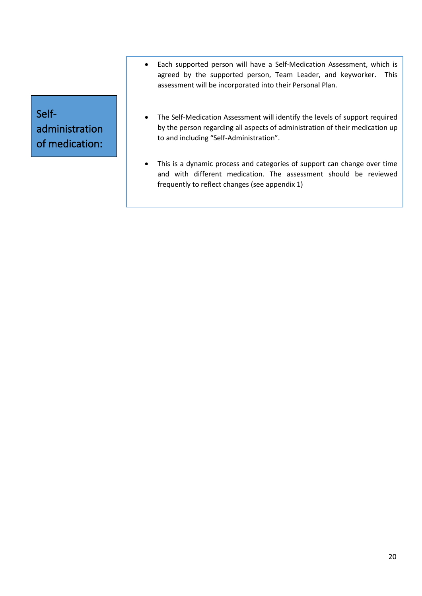Selfadministration of medication:

- Each supported person will have a Self-Medication Assessment, which is agreed by the supported person, Team Leader, and keyworker. This assessment will be incorporated into their Personal Plan.
- The Self-Medication Assessment will identify the levels of support required by the person regarding all aspects of administration of their medication up to and including "Self-Administration".
- This is a dynamic process and categories of support can change over time and with different medication. The assessment should be reviewed frequently to reflect changes (see appendix 1)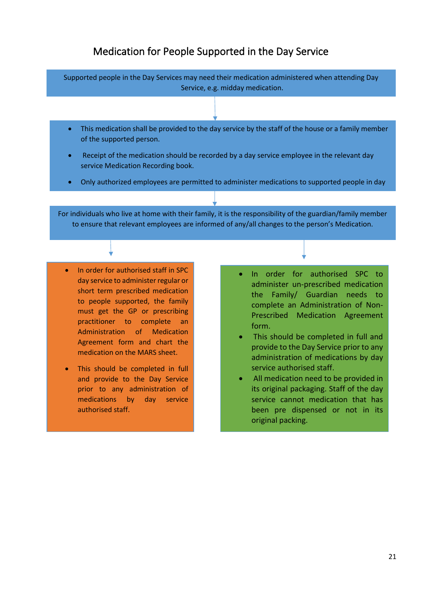#### Medication for People Supported in the Day Service

<span id="page-20-0"></span>Supported people in the Day Services may need their medication administered when attending Day Service, e.g. midday medication.

- This medication shall be provided to the day service by the staff of the house or a family member of the supported person.
- Receipt of the medication should be recorded by a day service employee in the relevant day service Medication Recording book.
- Only authorized employees are permitted to administer medications to supported people in day

For individuals who live at home with their family, it is the responsibility of the guardian/family member to ensure that relevant employees are informed of any/all changes to the person's Medication.

• In order for authorised staff in SPC day service to administer regular or short term prescribed medication to people supported, the family must get the GP or prescribing practitioner to complete an Administration of Medication Agreement form and chart the medication on the MARS sheet.

services.<br>Services.

- This should be completed in full and provide to the Day Service prior to any administration of medications by day service authorised staff.
- In order for authorised SPC to administer un-prescribed medication the Family/ Guardian needs to complete an Administration of Non-Prescribed Medication Agreement form.
- This should be completed in full and provide to the Day Service prior to any administration of medications by day service authorised staff.
- All medication need to be provided in its original packaging. Staff of the day service cannot medication that has been pre dispensed or not in its original packing.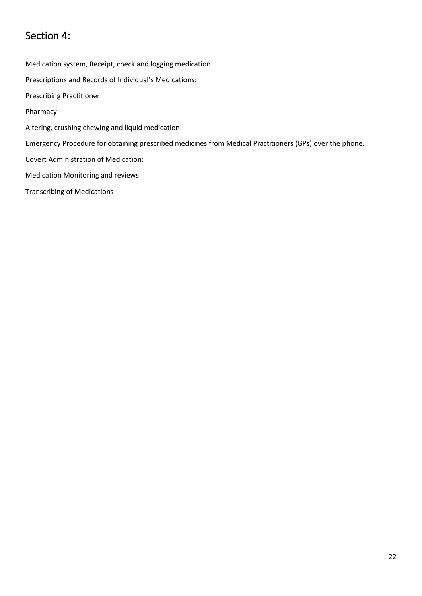## <span id="page-21-0"></span>Section 4:

Medication system, Receipt, check and logging medication Prescriptions and Records of Individual's Medications: Prescribing Practitioner Pharmacy Altering, crushing chewing and liquid medication Emergency Procedure for obtaining prescribed medicines from Medical Practitioners (GPs) over the phone. Covert Administration of Medication: Medication Monitoring and reviews Transcribing of Medications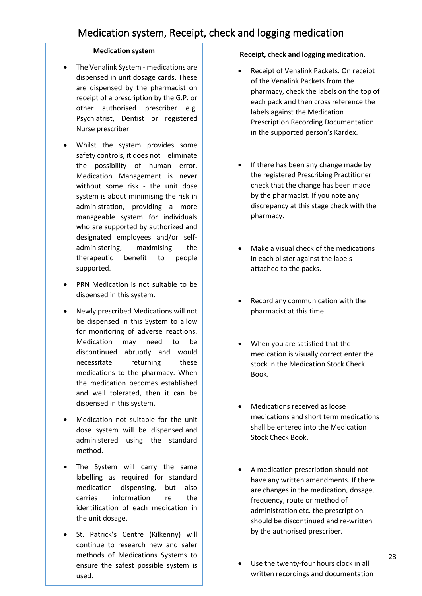#### **Medication system**

- <span id="page-22-0"></span>• The Venalink System - medications are dispensed in unit dosage cards. These are dispensed by the pharmacist on receipt of a prescription by the G.P. or other authorised prescriber e.g. Psychiatrist, Dentist or registered Nurse prescriber.
- Whilst the system provides some safety controls, it does not eliminate the possibility of human error. Medication Management is never without some risk - the unit dose system is about minimising the risk in administration, providing a more manageable system for individuals who are supported by authorized and designated employees and/or selfadministering; maximising the therapeutic benefit to people supported.
- PRN Medication is not suitable to be dispensed in this system.
- Newly prescribed Medications will not be dispensed in this System to allow for monitoring of adverse reactions. Medication may need to be discontinued abruptly and would necessitate returning these medications to the pharmacy. When the medication becomes established and well tolerated, then it can be dispensed in this system.
- Medication not suitable for the unit dose system will be dispensed and administered using the standard method.
- The System will carry the same labelling as required for standard medication dispensing, but also carries information re the identification of each medication in the unit dosage.
- St. Patrick's Centre (Kilkenny) will continue to research new and safer methods of Medications Systems to ensure the safest possible system is used.

#### **Receipt, check and logging medication.**

- Receipt of Venalink Packets. On receipt of the Venalink Packets from the pharmacy, check the labels on the top of each pack and then cross reference the labels against the Medication Prescription Recording Documentation in the supported person's Kardex.
- If there has been any change made by the registered Prescribing Practitioner check that the change has been made by the pharmacist. If you note any discrepancy at this stage check with the pharmacy.
- Make a visual check of the medications in each blister against the labels attached to the packs.
- Record any communication with the pharmacist at this time.
- When you are satisfied that the medication is visually correct enter the stock in the Medication Stock Check Book.
- Medications received as loose medications and short term medications shall be entered into the Medication Stock Check Book.
- A medication prescription should not have any written amendments. If there are changes in the medication, dosage, frequency, route or method of administration etc. the prescription should be discontinued and re-written by the authorised prescriber.
- Use the twenty-four hours clock in all written recordings and documentation

of administration of Medications. The Medications of Medications of Medications.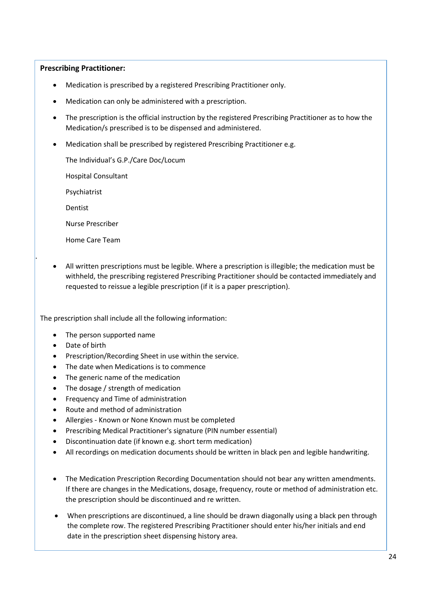#### **Prescribing Practitioner:**

- Medication is prescribed by a registered Prescribing Practitioner only.
- Medication can only be administered with a prescription.
- The prescription is the official instruction by the registered Prescribing Practitioner as to how the Medication/s prescribed is to be dispensed and administered.
- Medication shall be prescribed by registered Prescribing Practitioner e.g.

The Individual's G.P./Care Doc/Locum

Hospital Consultant

Psychiatrist

Dentist

1.1.1.

1.1.2.

Nurse Prescriber

Home Care Team

• All written prescriptions must be legible. Where a prescription is illegible; the medication must be withheld, the prescribing registered Prescribing Practitioner should be contacted immediately and requested to reissue a legible prescription (if it is a paper prescription).

The prescription shall include all the following information:

- The person supported name
- Date of birth
- Prescription/Recording Sheet in use within the service.
- The date when Medications is to commence
- The generic name of the medication
- The dosage / strength of medication
- Frequency and Time of administration
- Route and method of administration
- Allergies Known or None Known must be completed
- Prescribing Medical Practitioner's signature (PIN number essential)
- Discontinuation date (if known e.g. short term medication)
- All recordings on medication documents should be written in black pen and legible handwriting.
- The Medication Prescription Recording Documentation should not bear any written amendments. If there are changes in the Medications, dosage, frequency, route or method of administration etc. the prescription should be discontinued and re written.
- When prescriptions are discontinued, a line should be drawn diagonally using a black pen through the complete row. The registered Prescribing Practitioner should enter his/her initials and end date in the prescription sheet dispensing history area.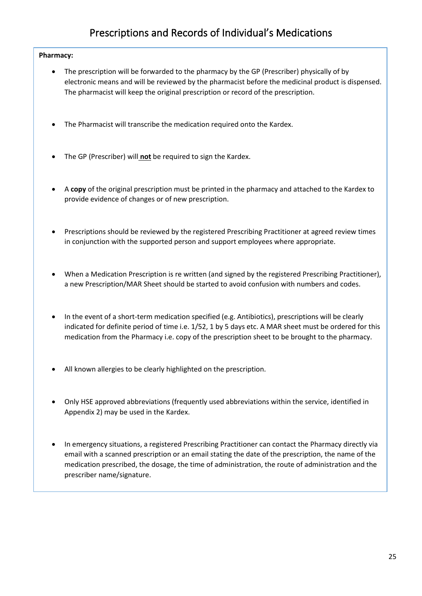# Prescriptions and Records of Individual's Medications

#### <span id="page-24-0"></span>**Pharmacy:**

- The prescription will be forwarded to the pharmacy by the GP (Prescriber) physically of by electronic means and will be reviewed by the pharmacist before the medicinal product is dispensed. The pharmacist will keep the original prescription or record of the prescription.
- The Pharmacist will transcribe the medication required onto the Kardex.
- The GP (Prescriber) will **not** be required to sign the Kardex.
- A **copy** of the original prescription must be printed in the pharmacy and attached to the Kardex to provide evidence of changes or of new prescription.
- Prescriptions should be reviewed by the registered Prescribing Practitioner at agreed review times in conjunction with the supported person and support employees where appropriate.
- When a Medication Prescription is re written (and signed by the registered Prescribing Practitioner), a new Prescription/MAR Sheet should be started to avoid confusion with numbers and codes.
- In the event of a short-term medication specified (e.g. Antibiotics), prescriptions will be clearly indicated for definite period of time i.e. 1/52, 1 by 5 days etc. A MAR sheet must be ordered for this medication from the Pharmacy i.e. copy of the prescription sheet to be brought to the pharmacy.
- All known allergies to be clearly highlighted on the prescription.
- Only HSE approved abbreviations (frequently used abbreviations within the service, identified in Appendix 2) may be used in the Kardex.
- In emergency situations, a registered Prescribing Practitioner can contact the Pharmacy directly via email with a scanned prescription or an email stating the date of the prescription, the name of the medication prescribed, the dosage, the time of administration, the route of administration and the prescriber name/signature.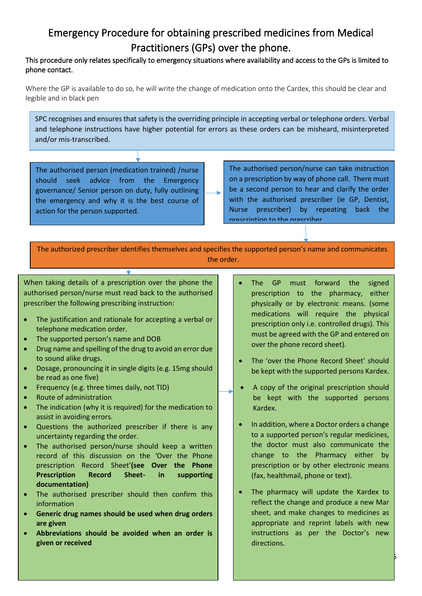# <span id="page-25-0"></span>Emergency Procedure for obtaining prescribed medicines from Medical Practitioners (GPs) over the phone.

#### This procedure only relates specifically to emergency situations where availability and access to the GPs is limited to phone contact.

Where the GP is available to do so, he will write the change of medication onto the Cardex, this should be clear and legible and in black pen

SPC recognises and ensures that safety is the overriding principle in accepting verbal or telephone orders. Verbal and telephone instructions have higher potential for errors as these orders can be misheard, misinterpreted and/or mis-transcribed.

The authorised person (medication trained) /nurse should seek advice from the Emergency governance/ Senior person on duty, fully outlining the emergency and why it is the best course of action for the person supported.

The authorised person/nurse can take instruction on a prescription by way of phone call. There must be a second person to hear and clarify the order with the authorised prescriber (ie GP, Dentist, Nurse prescriber) by repeating back the prescription to the prescriber.

The authorized prescriber identifies themselves and specifies the supported person's name and communicates the order.

When taking details of a prescription over the phone the authorised person/nurse must read back to the authorised prescriber the following prescribing instruction:

- The justification and rationale for accepting a verbal or telephone medication order.
- The supported person's name and DOB
- Drug name and spelling of the drug to avoid an error due to sound alike drugs.
- Dosage, pronouncing it in single digits (e.g. 15mg should be read as one five)
- Frequency (e.g. three times daily, not TID)
- Route of administration
- The indication (why it is required) for the medication to assist in avoiding errors.
- Questions the authorized prescriber if there is any uncertainty regarding the order.
- The authorised person/nurse should keep a written record of this discussion on the 'Over the Phone prescription Record Sheet'**(see Over the Phone Prescription Record Sheet- in supporting documentation)**
- The authorised prescriber should then confirm this information
- **Generic drug names should be used when drug orders are given**
- **Abbreviations should be avoided when an order is given or received**
- The GP must forward the signed prescription to the pharmacy, either physically or by electronic means. (some medications will require the physical prescription only i.e. controlled drugs). This must be agreed with the GP and entered on over the phone record sheet).
- The 'over the Phone Record Sheet' should be kept with the supported persons Kardex.
- A copy of the original prescription should be kept with the supported persons Kardex.
- In addition, where a Doctor orders a change to a supported person's regular medicines, the doctor must also communicate the change to the Pharmacy either by prescription or by other electronic means (fax, healthmail, phone or text).
- The pharmacy will update the Kardex to reflect the change and produce a new Mar sheet, and make changes to medicines as appropriate and reprint labels with new instructions as per the Doctor's new directions.

 $-\frac{1}{2}$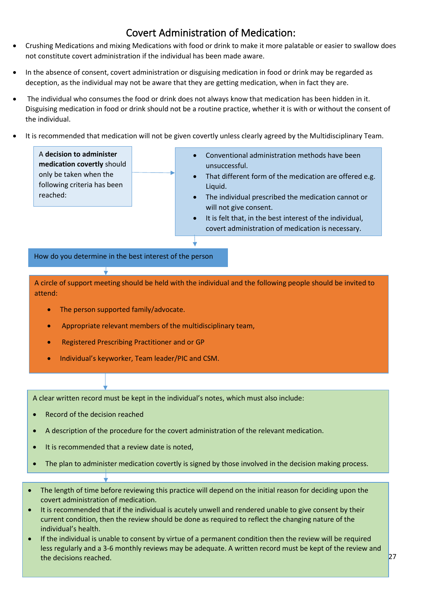# Covert Administration of Medication:

- <span id="page-26-0"></span>• Crushing Medications and mixing Medications with food or drink to make it more palatable or easier to swallow does not constitute covert administration if the individual has been made aware.
- In the absence of consent, covert administration or disguising medication in food or drink may be regarded as deception, as the individual may not be aware that they are getting medication, when in fact they are.
- The individual who consumes the food or drink does not always know that medication has been hidden in it. Disguising medication in food or drink should not be a routine practice, whether it is with or without the consent of the individual.
- It is recommended that medication will not be given covertly unless clearly agreed by the Multidisciplinary Team.

A **decision to administer medication covertly** should only be taken when the following criteria has been reached: • Conventional administration methods have been unsuccessful. That different form of the medication are offered e.g. Liquid. The individual prescribed the medication cannot or will not give consent.

> It is felt that, in the best interest of the individual, covert administration of medication is necessary.

How do you determine in the best interest of the person

A circle of support meeting should be held with the individual and the following people should be invited to attend:

It is essential that, at this meeting, consideration is given to the individual's capacity to give consent to the treatment and to their best interests following  $\mathcal{A}$  in put and consideration.  $\mathcal{A}$ 

- The person supported family/advocate.
- Appropriate relevant members of the multidisciplinary team,
- Registered Prescribing Practitioner and or GP
- Individual's keyworker, Team leader/PIC and CSM.

A clear written record must be kept in the individual's notes, which must also include:

- Record of the decision reached
- A description of the procedure for the covert administration of the relevant medication.
- It is recommended that a review date is noted.
- The plan to administer medication covertly is signed by those involved in the decision making process.
- The length of time before reviewing this practice will depend on the initial reason for deciding upon the covert administration of medication.
- It is recommended that if the individual is acutely unwell and rendered unable to give consent by their current condition, then the review should be done as required to reflect the changing nature of the individual's health.
- If the individual is unable to consent by virtue of a permanent condition then the review will be required less regularly and a 3-6 monthly reviews may be adequate. A written record must be kept of the review and the decisions reached.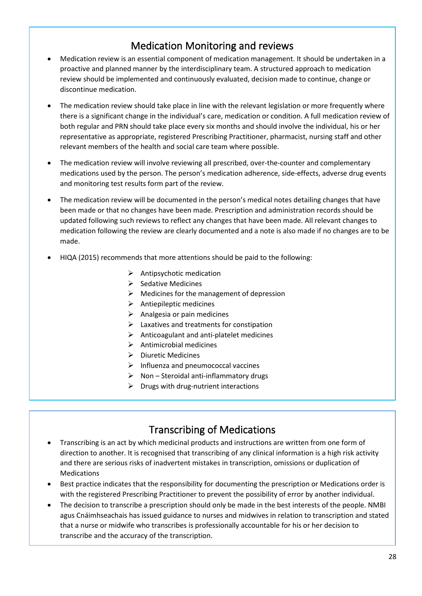# Medication Monitoring and reviews

- Medication review is an essential component of medication management. It should be undertaken in a proactive and planned manner by the interdisciplinary team. A structured approach to medication review should be implemented and continuously evaluated, decision made to continue, change or discontinue medication.
- The medication review should take place in line with the relevant legislation or more frequently where there is a significant change in the individual's care, medication or condition. A full medication review of both regular and PRN should take place every six months and should involve the individual, his or her representative as appropriate, registered Prescribing Practitioner, pharmacist, nursing staff and other relevant members of the health and social care team where possible.
- The medication review will involve reviewing all prescribed, over-the-counter and complementary medications used by the person. The person's medication adherence, side-effects, adverse drug events and monitoring test results form part of the review.
- The medication review will be documented in the person's medical notes detailing changes that have been made or that no changes have been made. Prescription and administration records should be updated following such reviews to reflect any changes that have been made. All relevant changes to medication following the review are clearly documented and a note is also made if no changes are to be made.
- HIQA (2015) recommends that more attentions should be paid to the following:
	- $\triangleright$  Antipsychotic medication
	- ➢ Sedative Medicines
	- $\triangleright$  Medicines for the management of depression
	- $\triangleright$  Antiepileptic medicines
	- $\triangleright$  Analgesia or pain medicines
	- $\blacktriangleright$  Laxatives and treatments for constipation
	- $\triangleright$  Anticoagulant and anti-platelet medicines
	- $\triangleright$  Antimicrobial medicines
	- ➢ Diuretic Medicines
	- ➢ Influenza and pneumococcal vaccines
	- $\triangleright$  Non Steroidal anti-inflammatory drugs
	- $\triangleright$  Drugs with drug-nutrient interactions

### Transcribing of Medications

- Transcribing is an act by which medicinal products and instructions are written from one form of direction to another. It is recognised that transcribing of any clinical information is a high risk activity and there are serious risks of inadvertent mistakes in transcription, omissions or duplication of Medications
- Best practice indicates that the responsibility for documenting the prescription or Medications order is with the registered Prescribing Practitioner to prevent the possibility of error by another individual.
- The decision to transcribe a prescription should only be made in the best interests of the people. NMBI agus Cnáimhseachais has issued guidance to nurses and midwives in relation to transcription and stated that a nurse or midwife who transcribes is professionally accountable for his or her decision to transcribe and the accuracy of the transcription.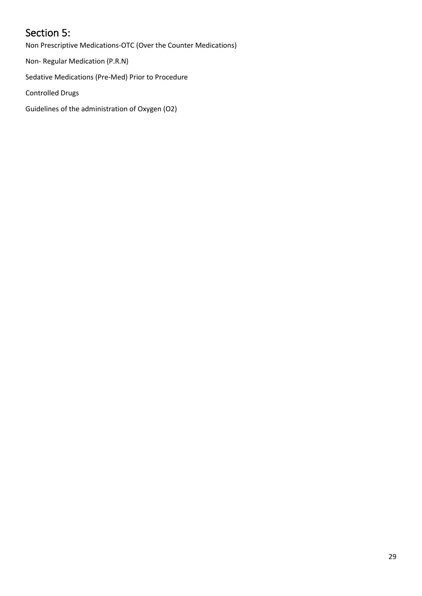# <span id="page-28-0"></span>Section 5:

Non Prescriptive Medications-OTC (Over the Counter Medications)

Non- Regular Medication (P.R.N)

Sedative Medications (Pre-Med) Prior to Procedure

Controlled Drugs

Guidelines of the administration of Oxygen (O2)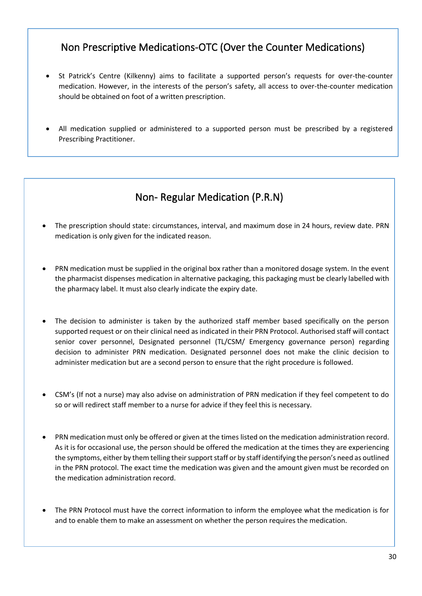# Non Prescriptive Medications-OTC (Over the Counter Medications)

- St Patrick's Centre (Kilkenny) aims to facilitate a supported person's requests for over-the-counter medication. However, in the interests of the person's safety, all access to over-the-counter medication should be obtained on foot of a written prescription.
- All medication supplied or administered to a supported person must be prescribed by a registered Prescribing Practitioner.

## Non- Regular Medication (P.R.N)

complete Administration of Non-Prescribed Medication Authorisation form.

- The prescription should state: circumstances, interval, and maximum dose in 24 hours, review date. PRN medication is only given for the indicated reason.
- PRN medication must be supplied in the original box rather than a monitored dosage system. In the event the pharmacist dispenses medication in alternative packaging, this packaging must be clearly labelled with the pharmacy label. It must also clearly indicate the expiry date.
- The decision to administer is taken by the authorized staff member based specifically on the person supported request or on their clinical need as indicated in their PRN Protocol. Authorised staff will contact senior cover personnel, Designated personnel (TL/CSM/ Emergency governance person) regarding decision to administer PRN medication. Designated personnel does not make the clinic decision to administer medication but are a second person to ensure that the right procedure is followed.
- CSM's (If not a nurse) may also advise on administration of PRN medication if they feel competent to do so or will redirect staff member to a nurse for advice if they feel this is necessary.
- PRN medication must only be offered or given at the times listed on the medication administration record. As it is for occasional use, the person should be offered the medication at the times they are experiencing the symptoms, either by them telling their support staff or by staff identifying the person's need as outlined in the PRN protocol. The exact time the medication was given and the amount given must be recorded on the medication administration record.
- The PRN Protocol must have the correct information to inform the employee what the medication is for and to enable them to make an assessment on whether the person requires the medication.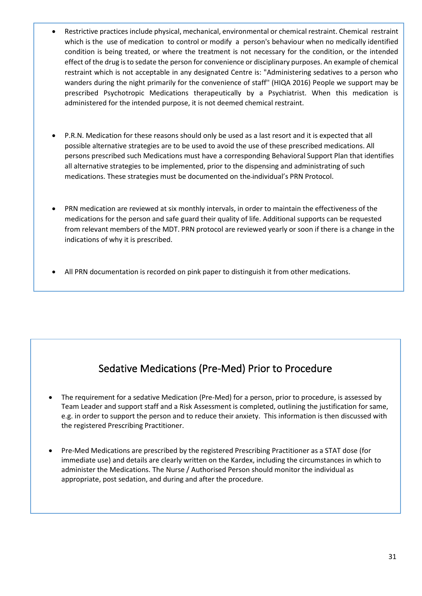- Restrictive practices include physical, mechanical, environmental or chemical restraint. Chemical restraint which is the use of medication to control or modify a person's behaviour when no medically identified condition is being treated, or where the treatment is not necessary for the condition, or the intended effect of the drug is to sedate the person for convenience or disciplinary purposes. An example of chemical restraint which is not acceptable in any designated Centre is: "Administering sedatives to a person who wanders during the night primarily for the convenience of staff'' (HIQA 2016) People we support may be prescribed Psychotropic Medications therapeutically by a Psychiatrist. When this medication is administered for the intended purpose, it is not deemed chemical restraint.
- P.R.N. Medication for these reasons should only be used as a last resort and it is expected that all possible alternative strategies are to be used to avoid the use of these prescribed medications. All persons prescribed such Medications must have a corresponding Behavioral Support Plan that identifies all alternative strategies to be implemented, prior to the dispensing and administrating of such medications. These strategies must be documented on the individual's PRN Protocol.
- PRN medication are reviewed at six monthly intervals, in order to maintain the effectiveness of the medications for the person and safe guard their quality of life. Additional supports can be requested from relevant members of the MDT. PRN protocol are reviewed yearly or soon if there is a change in the indications of why it is prescribed.
- All PRN documentation is recorded on pink paper to distinguish it from other medications.

# Sedative Medications (Pre-Med) Prior to Procedure

- The requirement for a sedative Medication (Pre-Med) for a person, prior to procedure, is assessed by Team Leader and support staff and a Risk Assessment is completed, outlining the justification for same, e.g. in order to support the person and to reduce their anxiety. This information is then discussed with the registered Prescribing Practitioner.
- Pre-Med Medications are prescribed by the registered Prescribing Practitioner as a STAT dose (for immediate use) and details are clearly written on the Kardex, including the circumstances in which to administer the Medications. The Nurse / Authorised Person should monitor the individual as appropriate, post sedation, and during and after the procedure.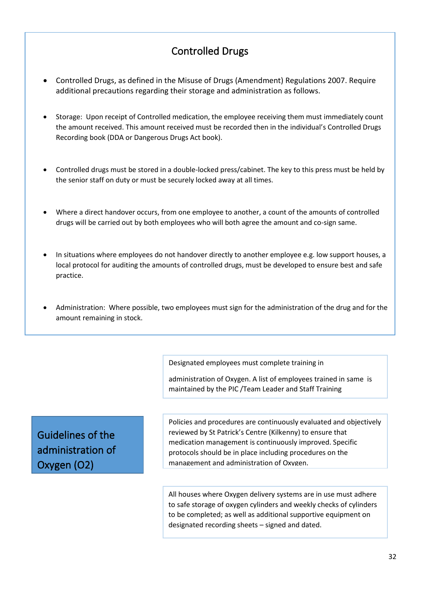# Controlled Drugs

- Controlled Drugs, as defined in the Misuse of Drugs (Amendment) Regulations 2007. Require additional precautions regarding their storage and administration as follows.
- Storage: Upon receipt of Controlled medication, the employee receiving them must immediately count the amount received. This amount received must be recorded then in the individual's Controlled Drugs Recording book (DDA or Dangerous Drugs Act book).
- Controlled drugs must be stored in a double-locked press/cabinet. The key to this press must be held by the senior staff on duty or must be securely locked away at all times.
- Where a direct handover occurs, from one employee to another, a count of the amounts of controlled drugs will be carried out by both employees who will both agree the amount and co-sign same.
- In situations where employees do not handover directly to another employee e.g. low support houses, a local protocol for auditing the amounts of controlled drugs, must be developed to ensure best and safe practice.
- Administration: Where possible, two employees must sign for the administration of the drug and for the amount remaining in stock.

Department.

Designated employees must complete training in

will be involved in developing this local protocol. administration of Oxygen. A list of employees trained in same is maintained by the PIC /Team Leader and Staff Training

Guidelines of the administration of Oxygen (O2)

Policies and procedures are continuously evaluated and objectively reviewed by St Patrick's Centre (Kilkenny) to ensure that medication management is continuously improved. Specific protocols should be in place including procedures on the management and administration of Oxygen.

All houses where Oxygen delivery systems are in use must adhere to safe storage of oxygen cylinders and weekly checks of cylinders to be completed; as well as additional supportive equipment on designated recording sheets – signed and dated.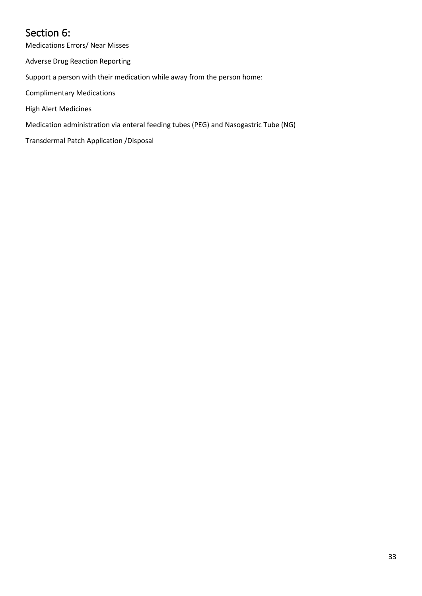# <span id="page-32-0"></span>Section 6:

Medications Errors/ Near Misses

Adverse Drug Reaction Reporting

Support a person with their medication while away from the person home:

Complimentary Medications

High Alert Medicines

Medication administration via enteral feeding tubes (PEG) and Nasogastric Tube (NG)

Transdermal Patch Application /Disposal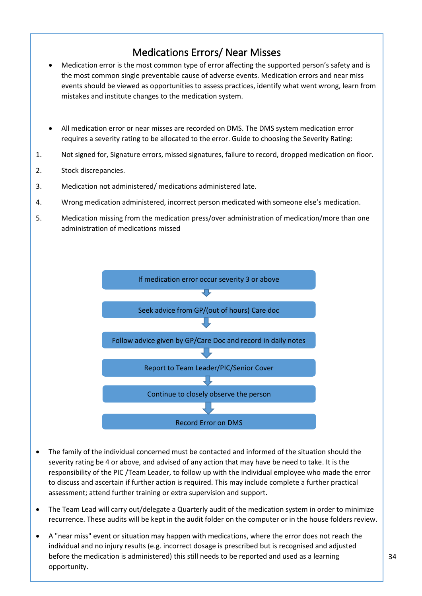### Medications Errors/ Near Misses

- Medication error is the most common type of error affecting the supported person's safety and is the most common single preventable cause of adverse events. Medication errors and near miss events should be viewed as opportunities to assess practices, identify what went wrong, learn from mistakes and institute changes to the medication system.
- All medication error or near misses are recorded on DMS. The DMS system medication error requires a severity rating to be allocated to the error. Guide to choosing the Severity Rating:
- 1. Not signed for, Signature errors, missed signatures, failure to record, dropped medication on floor.
- 2. Stock discrepancies.
- 3. Medication not administered/ medications administered late.
- 4. Wrong medication administered, incorrect person medicated with someone else's medication.
- 5. Medication missing from the medication press/over administration of medication/more than one administration of medications missed



- The family of the individual concerned must be contacted and informed of the situation should the severity rating be 4 or above, and advised of any action that may have be need to take. It is the responsibility of the PIC /Team Leader, to follow up with the individual employee who made the error to discuss and ascertain if further action is required. This may include complete a further practical assessment; attend further training or extra supervision and support.
- The Team Lead will carry out/delegate a Quarterly audit of the medication system in order to minimize recurrence. These audits will be kept in the audit folder on the computer or in the house folders review.
- A "near miss" event or situation may happen with medications, where the error does not reach the individual and no injury results (e.g. incorrect dosage is prescribed but is recognised and adjusted before the medication is administered) this still needs to be reported and used as a learning opportunity.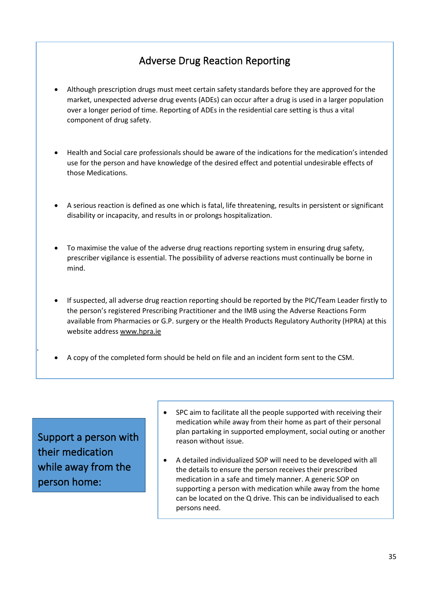# Adverse Drug Reaction Reporting

- Although prescription drugs must meet certain safety standards before they are approved for the market, unexpected adverse drug events (ADEs) can occur after a drug is used in a larger population over a longer period of time. Reporting of ADEs in the residential care setting is thus a vital component of drug safety.
- Health and Social care professionals should be aware of the indications for the medication's intended use for the person and have knowledge of the desired effect and potential undesirable effects of those Medications.
- A serious reaction is defined as one which is fatal, life threatening, results in persistent or significant disability or incapacity, and results in or prolongs hospitalization.
- To maximise the value of the adverse drug reactions reporting system in ensuring drug safety, prescriber vigilance is essential. The possibility of adverse reactions must continually be borne in mind.
- If suspected, all adverse drug reaction reporting should be reported by the PIC/Team Leader firstly to the person's registered Prescribing Practitioner and the IMB using the Adverse Reactions Form available from Pharmacies or G.P. surgery or the Health Products Regulatory Authority (HPRA) at this website address [www.hpra.ie](https://www.hpra.ie/)

their everyday care of the supported person, Nurses, Authorised employees and the team are in the team are in<br>The team are in the team are in the team are in the team are in the team are in the team are in the team are i

• A copy of the completed form should be held on file and an incident form sent to the CSM.

their medication  $\|\cdot\|$ while away from the  $\parallel$   $\parallel$   $\bullet$  A detailed indiv Support a person with person home:

5.1.1.

- $\bullet$  SPC aim to facilitate all the people supported with receiving their port a person with possible reason without issue. medication while away from their home as part of their personal plan partaking in supported employment, social outing or another
	- A detailed individualized SOP will need to be developed with all the details to ensure the person receives their prescribed medication in a safe and timely manner. A generic SOP on supporting a person with medication while away from the home can be located on the Q drive. This can be individualised to each persons need.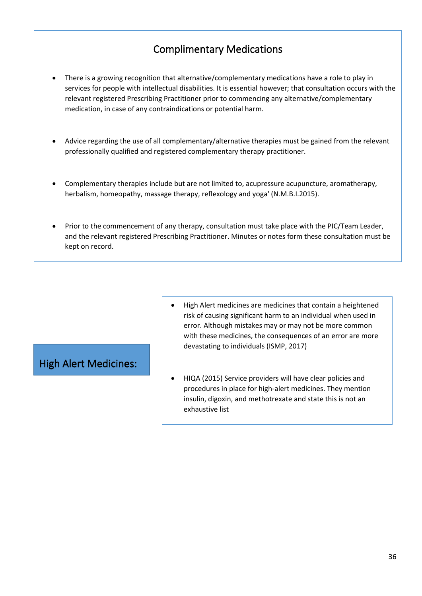# Complimentary Medications

- There is a growing recognition that alternative/complementary medications have a role to play in services for people with intellectual disabilities. It is essential however; that consultation occurs with the relevant registered Prescribing Practitioner prior to commencing any alternative/complementary medication, in case of any contraindications or potential harm.
- Advice regarding the use of all complementary/alternative therapies must be gained from the relevant professionally qualified and registered complementary therapy practitioner.
- Complementary therapies include but are not limited to, acupressure acupuncture, aromatherapy, herbalism, homeopathy, massage therapy, reflexology and yoga' (N.M.B.I.2015).
- Prior to the commencement of any therapy, consultation must take place with the PIC/Team Leader, and the relevant registered Prescribing Practitioner. Minutes or notes form these consultation must be kept on record.

#### High Alert Medicines:

- High Alert medicines are medicines that contain a heightened risk of causing significant harm to an individual when used in error. Although mistakes may or may not be more common with these medicines, the consequences of an error are more devastating to individuals (ISMP, 2017)
- HIQA (2015) Service providers will have clear policies and procedures in place for high-alert medicines. They mention insulin, digoxin, and methotrexate and state this is not an exhaustive list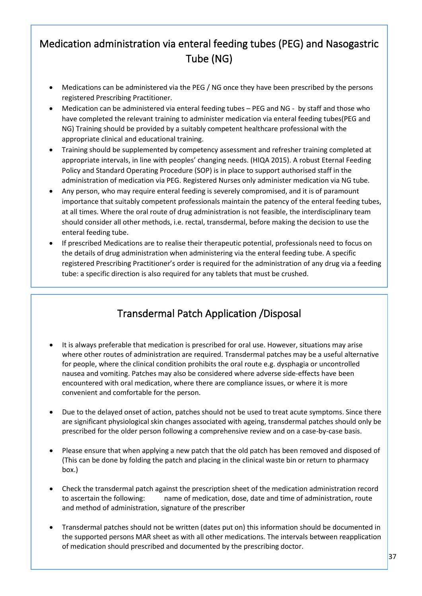# Medication administration via enteral feeding tubes (PEG) and Nasogastric Tube (NG)

- Medications can be administered via the PEG / NG once they have been prescribed by the persons registered Prescribing Practitioner.
- Medication can be administered via enteral feeding tubes PEG and NG by staff and those who have completed the relevant training to administer medication via enteral feeding tubes(PEG and NG) Training should be provided by a suitably competent healthcare professional with the appropriate clinical and educational training.
- Training should be supplemented by competency assessment and refresher training completed at appropriate intervals, in line with peoples' changing needs. (HIQA 2015). A robust Eternal Feeding Policy and Standard Operating Procedure (SOP) is in place to support authorised staff in the administration of medication via PEG. Registered Nurses only administer medication via NG tube.
- Any person, who may require enteral feeding is severely compromised, and it is of paramount importance that suitably competent professionals maintain the patency of the enteral feeding tubes, at all times. Where the oral route of drug administration is not feasible, the interdisciplinary team should consider all other methods, i.e. rectal, transdermal, before making the decision to use the enteral feeding tube.
- If prescribed Medications are to realise their therapeutic potential, professionals need to focus on the details of drug administration when administering via the enteral feeding tube. A specific registered Prescribing Practitioner's order is required for the administration of any drug via a feeding tube: a specific direction is also required for any tablets that must be crushed.

# Transdermal Patch Application /Disposal

- It is always preferable that medication is prescribed for oral use. However, situations may arise where other routes of administration are required. Transdermal patches may be a useful alternative for people, where the clinical condition prohibits the oral route e.g. dysphagia or uncontrolled nausea and vomiting. Patches may also be considered where adverse side-effects have been encountered with oral medication, where there are compliance issues, or where it is more convenient and comfortable for the person.
- Due to the delayed onset of action, patches should not be used to treat acute symptoms. Since there are significant physiological skin changes associated with ageing, transdermal patches should only be prescribed for the older person following a comprehensive review and on a case-by-case basis.
- Please ensure that when applying a new patch that the old patch has been removed and disposed of (This can be done by folding the patch and placing in the clinical waste bin or return to pharmacy box.)
- Check the transdermal patch against the prescription sheet of the medication administration record to ascertain the following: name of medication, dose, date and time of administration, route and method of administration, signature of the prescriber
- Transdermal patches should not be written (dates put on) this information should be documented in the supported persons MAR sheet as with all other medications. The intervals between reapplication of medication should prescribed and documented by the prescribing doctor.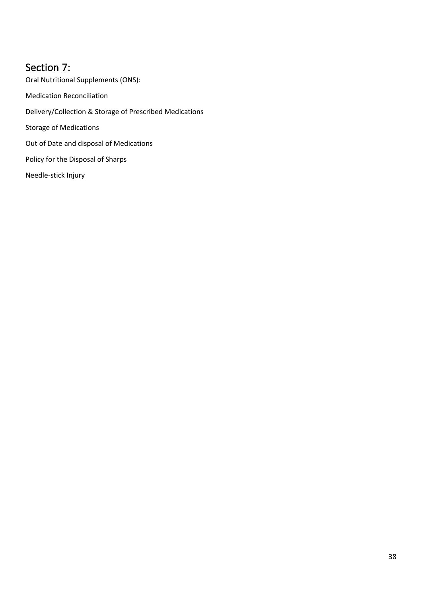### <span id="page-37-0"></span>Section 7:

Oral Nutritional Supplements (ONS): Medication Reconciliation Delivery/Collection & Storage of Prescribed Medications Storage of Medications Out of Date and disposal of Medications Policy for the Disposal of Sharps Needle-stick Injury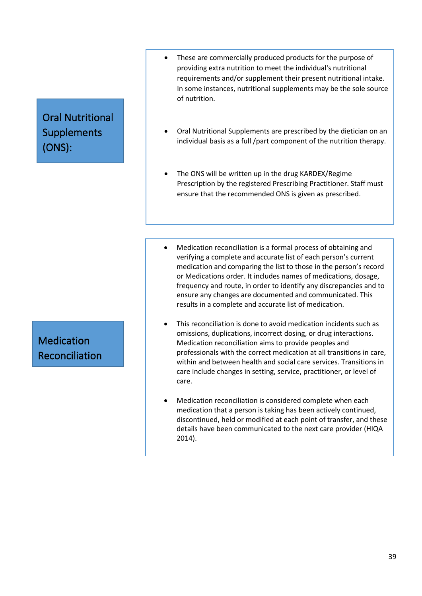# Oral Nutritional Supplements (ONS):

#### • These are commercially produced products for the purpose of providing extra nutrition to meet the individual's nutritional requirements and/or supplement their present nutritional intake. In some instances, nutritional supplements may be the sole source of nutrition.

- Oral Nutritional Supplements are prescribed by the dietician on an individual basis as a full /part component of the nutrition therapy.
- The ONS will be written up in the drug KARDEX/Regime Prescription by the registered Prescribing Practitioner. Staff must ensure that the recommended ONS is given as prescribed.

 $\sim$  Oral supplement must be store in a press or area designated for a press or area designated for a press or area designated for a press or area designated for a press or area designated for a press or area designated f

supplements separate from other food products.

- Medication reconciliation is a formal process of obtaining and verifying a complete and accurate list of each person's current medication and comparing the list to those in the person's record or Medications order. It includes names of medications, dosage, frequency and route, in order to identify any discrepancies and to ensure any changes are documented and communicated. This results in a complete and accurate list of medication.
- This reconciliation is done to avoid medication incidents such as omissions, duplications, incorrect dosing, or drug interactions. Medication reconciliation aims to provide peoples and professionals with the correct medication at all transitions in care, within and between health and social care services. Transitions in care include changes in setting, service, practitioner, or level of care.
- Medication reconciliation is considered complete when each medication that a person is taking has been actively continued, discontinued, held or modified at each point of transfer, and these details have been communicated to the next care provider (HIQA 2014).

Medication Reconciliation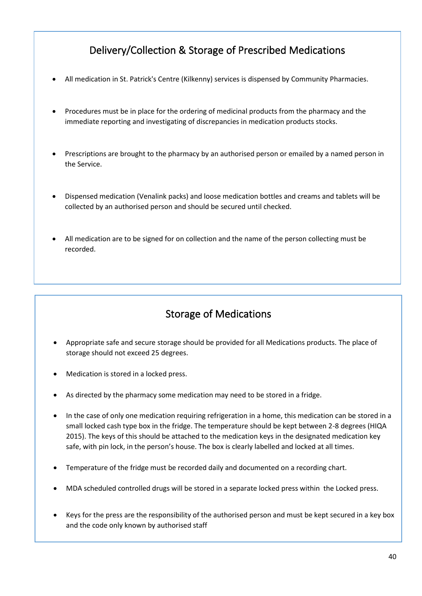# Delivery/Collection & Storage of Prescribed Medications

- All medication in St. Patrick's Centre (Kilkenny) services is dispensed by Community Pharmacies.
- Procedures must be in place for the ordering of medicinal products from the pharmacy and the immediate reporting and investigating of discrepancies in medication products stocks.
- Prescriptions are brought to the pharmacy by an authorised person or emailed by a named person in the Service.
- Dispensed medication (Venalink packs) and loose medication bottles and creams and tablets will be collected by an authorised person and should be secured until checked.
- All medication are to be signed for on collection and the name of the person collecting must be recorded.

### Storage of Medications

• On collection the authorised person must sign for receipt of the medication and check same with the

- Appropriate safe and secure storage should be provided for all Medications products. The place of storage should not exceed 25 degrees.
- Medication is stored in a locked press.

order form.

- As directed by the pharmacy some medication may need to be stored in a fridge.
- safe, with pin lock, in the person's house. The box is clearly labelled and locked at all times. • In the case of only one medication requiring refrigeration in a home, this medication can be stored in a small locked cash type box in the fridge. The temperature should be kept between 2-8 degrees (HIQA 2015). The keys of this should be attached to the medication keys in the designated medication key
- Temperature of the fridge must be recorded daily and documented on a recording chart.
- MDA scheduled controlled drugs will be stored in a separate locked press within the Locked press.
- Keys for the press are the responsibility of the authorised person and must be kept secured in a key box and the code only known by authorised staff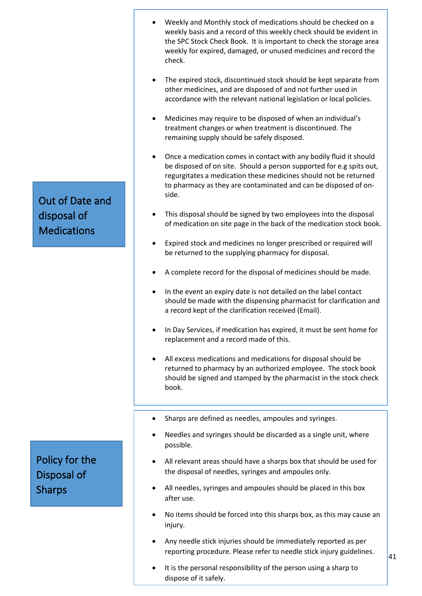- Weekly and Monthly stock of medications should be checked on a weekly basis and a record of this weekly check should be evident in the SPC Stock Check Book. It is important to check the storage area weekly for expired, damaged, or unused medicines and record the check.
- The expired stock, discontinued stock should be kept separate from other medicines, and are disposed of and not further used in accordance with the relevant national legislation or local policies.
- Medicines may require to be disposed of when an individual's treatment changes or when treatment is discontinued. The remaining supply should be safely disposed.
- Once a medication comes in contact with any bodily fluid it should be disposed of on site. Should a person supported for e.g spits out, regurgitates a medication these medicines should not be returned to pharmacy as they are contaminated and can be disposed of onside.
- This disposal should be signed by two employees into the disposal of medication on site page in the back of the medication stock book.
- Expired stock and medicines no longer prescribed or required will be returned to the supplying pharmacy for disposal.
- A complete record for the disposal of medicines should be made.
- In the event an expiry date is not detailed on the label contact should be made with the dispensing pharmacist for clarification and a record kept of the clarification received (Email).
- In Day Services, if medication has expired, it must be sent home for replacement and a record made of this.
- All excess medications and medications for disposal should be returned to pharmacy by an authorized employee. The stock book should be signed and stamped by the pharmacist in the stock check book.
- Sharps are defined as needles, ampoules and syringes.
- Needles and syringes should be discarded as a single unit, where possible.
- All relevant areas should have a sharps box that should be used for the disposal of needles, syringes and ampoules only.
- All needles, syringes and ampoules should be placed in this box after use.
- No items should be forced into this sharps box, as this may cause an injury.
- Any needle stick injuries should be immediately reported as per reporting procedure. Please refer to needle stick injury guidelines.
- It is the personal responsibility of the person using a sharp to dispose of it safely.

Out of Date and disposal of **Medications** 

# Policy for the Disposal of Sharps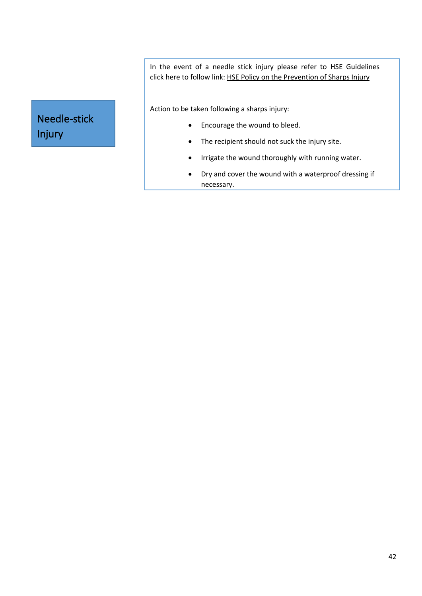In the event of a needle stick injury please refer to HSE Guidelines click here to follow link: [HSE Policy on the Prevention of Sharps Injury](https://www.hse.ie/eng/staff/safetywellbeing/healthsafetyand%20wellbeing/hse%20policy%20for%20the%20prevention%20of%20sharps%20injuries.pdf)

Action to be taken following a sharps injury:

- Encourage the wound to bleed.
- The recipient should not suck the injury site.
- Irrigate the wound thoroughly with running water.
- Dry and cover the wound with a waterproof dressing if necessary.

# Needle-stick Injury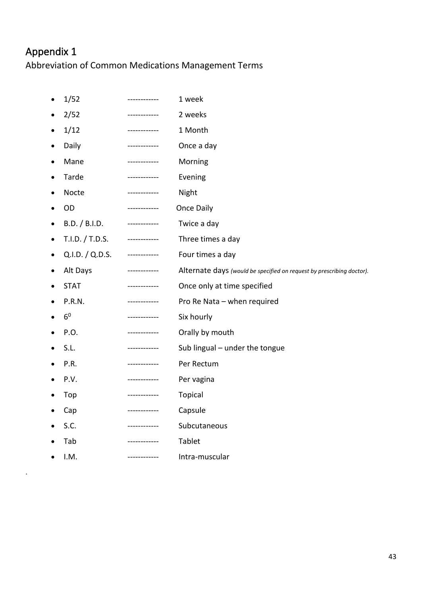# <span id="page-42-0"></span>Appendix 1

.

Abbreviation of Common Medications Management Terms

| $\bullet$ | 1/52            | -----------  | 1 week                                                                |
|-----------|-----------------|--------------|-----------------------------------------------------------------------|
| ٠         | 2/52            | ------------ | 2 weeks                                                               |
| ٠         | 1/12            | ------------ | 1 Month                                                               |
| $\bullet$ | Daily           | ------------ | Once a day                                                            |
| ٠         | Mane            | ------------ | Morning                                                               |
| $\bullet$ | Tarde           | ------------ | Evening                                                               |
| ٠         | Nocte           | ------------ | Night                                                                 |
| ٠         | OD              | ------------ | Once Daily                                                            |
| $\bullet$ | B.D. / B.I.D.   | ------------ | Twice a day                                                           |
| ٠         | T.I.D. / T.D.S. | ------------ | Three times a day                                                     |
| $\bullet$ | Q.I.D. / Q.D.S. | ------------ | Four times a day                                                      |
| ٠         | Alt Days        | ------------ | Alternate days (would be specified on request by prescribing doctor). |
|           | <b>STAT</b>     | ------------ | Once only at time specified                                           |
|           | P.R.N.          | ------------ | Pro Re Nata - when required                                           |
|           | 6 <sup>0</sup>  | ------------ | Six hourly                                                            |
|           | P.O.            | ------------ | Orally by mouth                                                       |
|           | S.L.            |              | Sub lingual - under the tongue                                        |
|           | P.R.            | ------------ | Per Rectum                                                            |
|           | P.V.            | ------------ | Per vagina                                                            |
|           | Top             | ------------ | Topical                                                               |
|           | Cap             | ------------ | Capsule                                                               |
|           | S.C.            |              | Subcutaneous                                                          |
|           | Tab             |              | Tablet                                                                |
|           | I.M.            |              | Intra-muscular                                                        |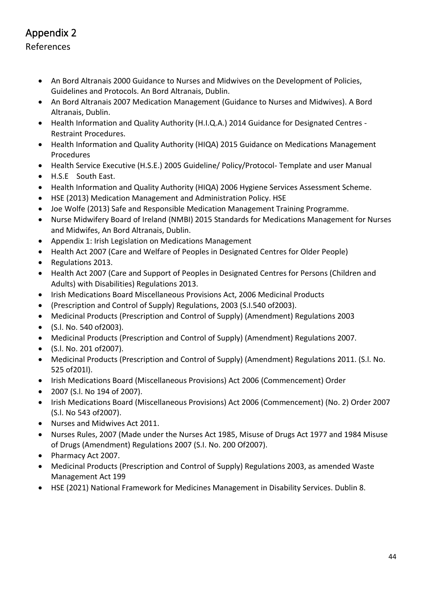# <span id="page-43-0"></span>Appendix 2

#### References

- An Bord Altranais 2000 Guidance to Nurses and Midwives on the Development of Policies, Guidelines and Protocols. An Bord Altranais, Dublin.
- An Bord Altranais 2007 Medication Management (Guidance to Nurses and Midwives). A Bord Altranais, Dublin.
- Health Information and Quality Authority (H.I.Q.A.) 2014 Guidance for Designated Centres Restraint Procedures.
- Health Information and Quality Authority (HIQA) 2015 Guidance on Medications Management Procedures
- Health Service Executive (H.S.E.) 2005 Guideline/ Policy/Protocol- Template and user Manual
- H.S.E South East.
- Health Information and Quality Authority (HIQA) 2006 Hygiene Services Assessment Scheme.
- HSE (2013) Medication Management and Administration Policy. HSE
- Joe Wolfe (2013) Safe and Responsible Medication Management Training Programme.
- Nurse Midwifery Board of Ireland (NMBI) 2015 Standards for Medications Management for Nurses and Midwifes, An Bord Altranais, Dublin.
- Appendix 1: Irish Legislation on Medications Management
- Health Act 2007 (Care and Welfare of Peoples in Designated Centres for Older People)
- Regulations 2013.
- Health Act 2007 (Care and Support of Peoples in Designated Centres for Persons (Children and Adults) with Disabilities) Regulations 2013.
- Irish Medications Board Miscellaneous Provisions Act, 2006 Medicinal Products
- (Prescription and Control of Supply) Regulations, 2003 (S.I.540 of2003).
- Medicinal Products (Prescription and Control of Supply) (Amendment) Regulations 2003
- (S.l. No. 540 of2003).
- Medicinal Products (Prescription and Control of Supply) (Amendment) Regulations 2007.
- (S.l. No. 201 of2007).
- Medicinal Products (Prescription and Control of Supply) (Amendment) Regulations 2011. (S.l. No. 525 of201l).
- Irish Medications Board (Miscellaneous Provisions) Act 2006 (Commencement) Order
- 2007 (S.l. No 194 of 2007).
- Irish Medications Board (Miscellaneous Provisions) Act 2006 (Commencement) (No. 2) Order 2007 (S.l. No 543 of2007).
- Nurses and Midwives Act 2011.
- Nurses Rules, 2007 (Made under the Nurses Act 1985, Misuse of Drugs Act 1977 and 1984 Misuse of Drugs (Amendment) Regulations 2007 (S.I. No. 200 Of2007).
- Pharmacy Act 2007.
- Medicinal Products (Prescription and Control of Supply) Regulations 2003, as amended Waste Management Act 199
- HSE (2021) National Framework for Medicines Management in Disability Services. Dublin 8.